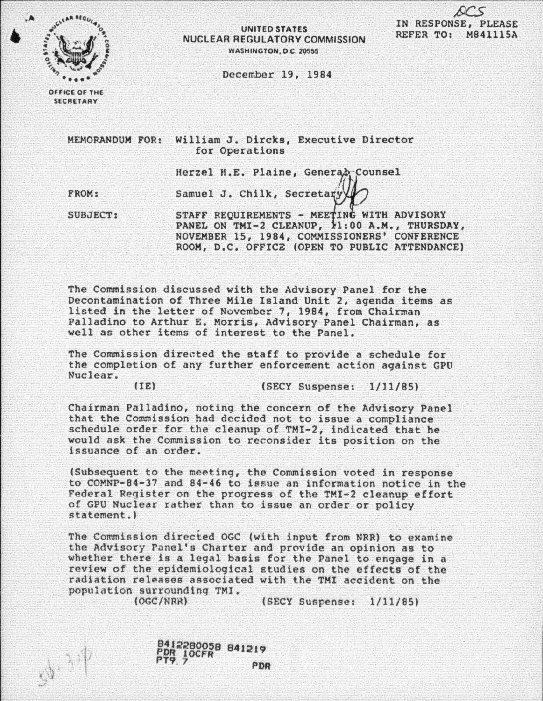

## UNITED STATES NUClEAR REGULATORY COMMISSION **WASHINGTON, D.C. 20555**

IN RESPONSE, PLEASE REFER TO: M84111SA

December 19, 1984

OFFICE OF THE **SECRETARY** 

> MEHORANDUM FOR: William J. Dircks, Executive Director for Operations

> > Herzel H.E. Plaine, Generab Counsel

FROM:

Samuel J. Chilk, Secretary

SUBJECT:

STAFF REQUIREMENTS - MEETING WITH ADVISORY PANEL ON TMI-2 CLEANUP, 11:00 A.M., THURSDAY, NOVEMBER 15, 1984, COMMISSIONERS' CONFERENCE ROOM, D.C. OFFICZ (OPEN TO PUBLIC ATTENDANCE)

The Commission discussed with the Advisory Panel for the Decontamination of Three Mile Island Unit 2, agenda items as listed in the letter of November 7, 1984, from Chairman Palladino to Arthur E. Morris, Advisory Panel Chairman, as well as other items of interest to the Panel.

The Commission directed the staff to provide a schedule for the completion of any further enforcement action against GPO Nuclear.

liE) (SECY Suspense: 1/11/85)

Chairman Palladino, noting the concern of the Advisory Panel that the Commission had decided not to issue a compliance schedule order for the cleanup of TMI-2, indicated that he would ask the Commission to reconsider its position on the issuance of an order.

!Subsequent to the meeting, the Commission voted in response to COMNP-84-37 and 84-46 to issue an information notice in the Federal Register on the progress of the TMI-2 cleanup effort of GPU Nuclear rather than to issue an order or policy statement.)

The Commission directed OGC (with input from NRR) to examine the Advisory Panel's Charter and provide an opinion as to whether there is a legal basis for the Panel to engage in a review of the epidemiological £tudies on the effects of the radiation releases associated with the TMI accident on the population surrounding TMI.

 $y^{\frac{1}{2}}$ 

(SECY Suspense: 1/11/85)

841228005B 841219 PDR 10CFR -------<br>PTP. 7 PDR